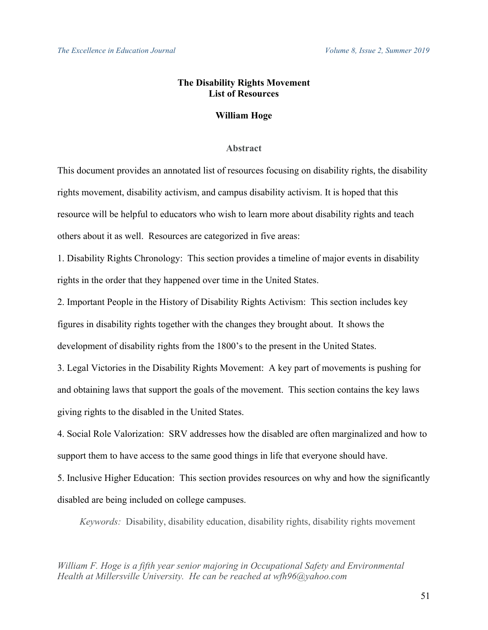# **The Disability Rights Movement List of Resources**

## **William Hoge**

## **Abstract**

This document provides an annotated list of resources focusing on disability rights, the disability rights movement, disability activism, and campus disability activism. It is hoped that this resource will be helpful to educators who wish to learn more about disability rights and teach others about it as well. Resources are categorized in five areas:

1. Disability Rights Chronology: This section provides a timeline of major events in disability rights in the order that they happened over time in the United States.

2. Important People in the History of Disability Rights Activism: This section includes key figures in disability rights together with the changes they brought about. It shows the development of disability rights from the 1800's to the present in the United States.

3. Legal Victories in the Disability Rights Movement: A key part of movements is pushing for and obtaining laws that support the goals of the movement. This section contains the key laws giving rights to the disabled in the United States.

4. Social Role Valorization: SRV addresses how the disabled are often marginalized and how to support them to have access to the same good things in life that everyone should have.

5. Inclusive Higher Education: This section provides resources on why and how the significantly disabled are being included on college campuses.

*Keywords:* Disability, disability education, disability rights, disability rights movement

*William F. Hoge is a fifth year senior majoring in Occupational Safety and Environmental Health at Millersville University. He can be reached at wfh96@yahoo.com*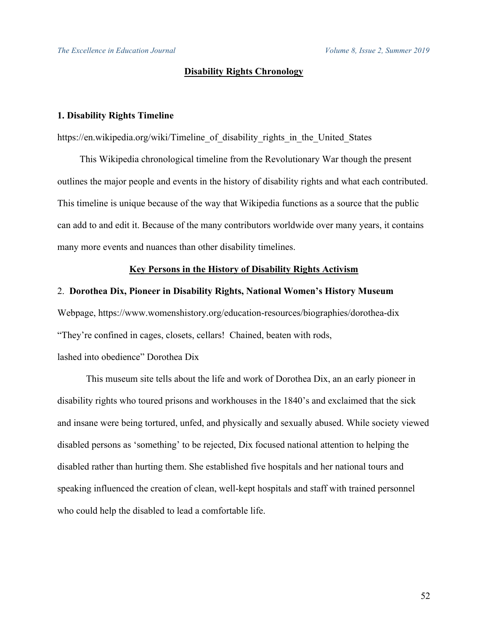*The Excellence in Education Journal Volume 8, Issue 2, Summer 2019*

## **Disability Rights Chronology**

## **1. Disability Rights Timeline**

https://en.wikipedia.org/wiki/Timeline of disability rights in the United States

This Wikipedia chronological timeline from the Revolutionary War though the present outlines the major people and events in the history of disability rights and what each contributed. This timeline is unique because of the way that Wikipedia functions as a source that the public can add to and edit it. Because of the many contributors worldwide over many years, it contains many more events and nuances than other disability timelines.

## **Key Persons in the History of Disability Rights Activism**

## 2. **Dorothea Dix, Pioneer in Disability Rights, National Women's History Museum**

Webpage, https://www.womenshistory.org/education-resources/biographies/dorothea-dix "They're confined in cages, closets, cellars! Chained, beaten with rods,

lashed into obedience" Dorothea Dix

This museum site tells about the life and work of Dorothea Dix, an an early pioneer in disability rights who toured prisons and workhouses in the 1840's and exclaimed that the sick and insane were being tortured, unfed, and physically and sexually abused. While society viewed disabled persons as 'something' to be rejected, Dix focused national attention to helping the disabled rather than hurting them. She established five hospitals and her national tours and speaking influenced the creation of clean, well-kept hospitals and staff with trained personnel who could help the disabled to lead a comfortable life.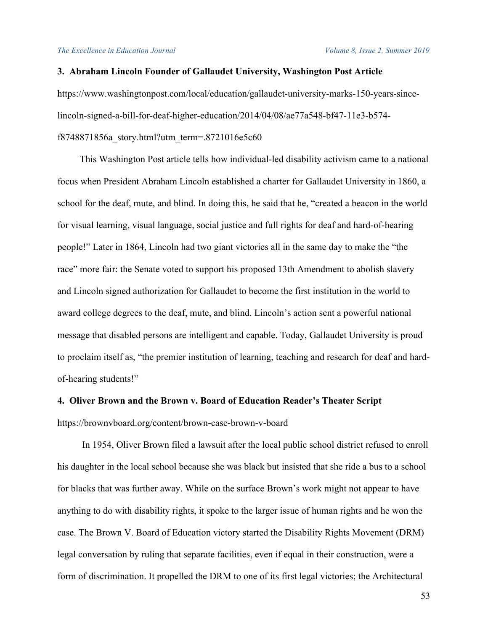## **3. Abraham Lincoln Founder of Gallaudet University, Washington Post Article**

https://www.washingtonpost.com/local/education/gallaudet-university-marks-150-years-sincelincoln-signed-a-bill-for-deaf-higher-education/2014/04/08/ae77a548-bf47-11e3-b574 f8748871856a\_story.html?utm\_term=.8721016e5c60

This Washington Post article tells how individual-led disability activism came to a national focus when President Abraham Lincoln established a charter for Gallaudet University in 1860, a school for the deaf, mute, and blind. In doing this, he said that he, "created a beacon in the world for visual learning, visual language, social justice and full rights for deaf and hard-of-hearing people!" Later in 1864, Lincoln had two giant victories all in the same day to make the "the race" more fair: the Senate voted to support his proposed 13th Amendment to abolish slavery and Lincoln signed authorization for Gallaudet to become the first institution in the world to award college degrees to the deaf, mute, and blind. Lincoln's action sent a powerful national message that disabled persons are intelligent and capable. Today, Gallaudet University is proud to proclaim itself as, "the premier institution of learning, teaching and research for deaf and hardof-hearing students!"

#### **4. Oliver Brown and the Brown v. Board of Education Reader's Theater Script**

https://brownvboard.org/content/brown-case-brown-v-board

In 1954, Oliver Brown filed a lawsuit after the local public school district refused to enroll his daughter in the local school because she was black but insisted that she ride a bus to a school for blacks that was further away. While on the surface Brown's work might not appear to have anything to do with disability rights, it spoke to the larger issue of human rights and he won the case. The Brown V. Board of Education victory started the Disability Rights Movement (DRM) legal conversation by ruling that separate facilities, even if equal in their construction, were a form of discrimination. It propelled the DRM to one of its first legal victories; the Architectural

53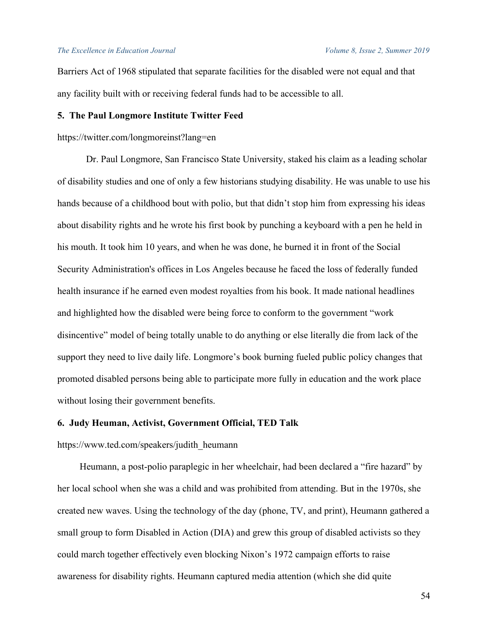Barriers Act of 1968 stipulated that separate facilities for the disabled were not equal and that any facility built with or receiving federal funds had to be accessible to all.

## **5. The Paul Longmore Institute Twitter Feed**

## https://twitter.com/longmoreinst?lang=en

Dr. Paul Longmore, San Francisco State University, staked his claim as a leading scholar of disability studies and one of only a few historians studying disability. He was unable to use his hands because of a childhood bout with polio, but that didn't stop him from expressing his ideas about disability rights and he wrote his first book by punching a keyboard with a pen he held in his mouth. It took him 10 years, and when he was done, he burned it in front of the Social Security Administration's offices in Los Angeles because he faced the loss of federally funded health insurance if he earned even modest royalties from his book. It made national headlines and highlighted how the disabled were being force to conform to the government "work disincentive" model of being totally unable to do anything or else literally die from lack of the support they need to live daily life. Longmore's book burning fueled public policy changes that promoted disabled persons being able to participate more fully in education and the work place without losing their government benefits.

#### **6. Judy Heuman, Activist, Government Official, TED Talk**

## https://www.ted.com/speakers/judith\_heumann

Heumann, a post-polio paraplegic in her wheelchair, had been declared a "fire hazard" by her local school when she was a child and was prohibited from attending. But in the 1970s, she created new waves. Using the technology of the day (phone, TV, and print), Heumann gathered a small group to form Disabled in Action (DIA) and grew this group of disabled activists so they could march together effectively even blocking Nixon's 1972 campaign efforts to raise awareness for disability rights. Heumann captured media attention (which she did quite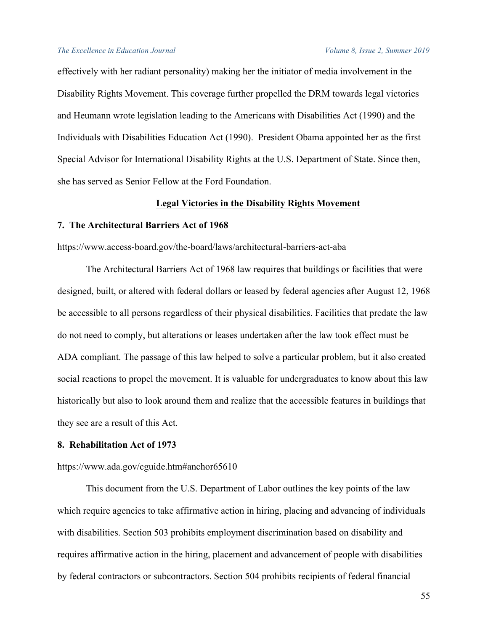#### *The Excellence in Education Journal Volume 8, Issue 2, Summer 2019*

effectively with her radiant personality) making her the initiator of media involvement in the Disability Rights Movement. This coverage further propelled the DRM towards legal victories and Heumann wrote legislation leading to the Americans with Disabilities Act (1990) and the Individuals with Disabilities Education Act (1990). President Obama appointed her as the first Special Advisor for International Disability Rights at the U.S. Department of State. Since then, she has served as Senior Fellow at the Ford Foundation.

## **Legal Victories in the Disability Rights Movement**

## **7. The Architectural Barriers Act of 1968**

https://www.access-board.gov/the-board/laws/architectural-barriers-act-aba

The Architectural Barriers Act of 1968 law requires that buildings or facilities that were designed, built, or altered with federal dollars or leased by federal agencies after August 12, 1968 be accessible to all persons regardless of their physical disabilities. Facilities that predate the law do not need to comply, but alterations or leases undertaken after the law took effect must be ADA compliant. The passage of this law helped to solve a particular problem, but it also created social reactions to propel the movement. It is valuable for undergraduates to know about this law historically but also to look around them and realize that the accessible features in buildings that they see are a result of this Act.

#### **8. Rehabilitation Act of 1973**

#### https://www.ada.gov/cguide.htm#anchor65610

This document from the U.S. Department of Labor outlines the key points of the law which require agencies to take affirmative action in hiring, placing and advancing of individuals with disabilities. Section 503 prohibits employment discrimination based on disability and requires affirmative action in the hiring, placement and advancement of people with disabilities by federal contractors or subcontractors. Section 504 prohibits recipients of federal financial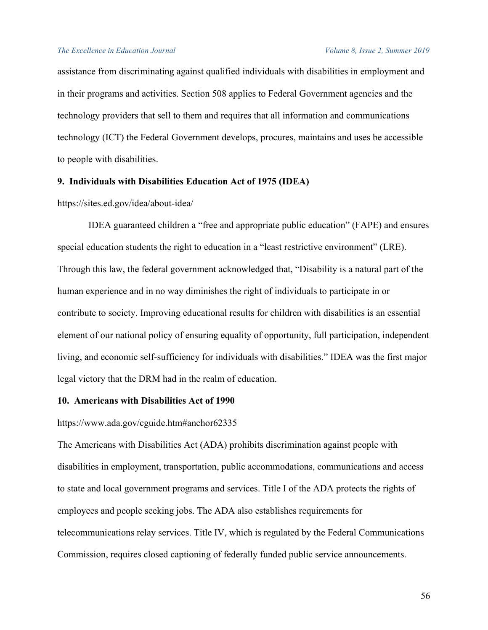assistance from discriminating against qualified individuals with disabilities in employment and in their programs and activities. Section 508 applies to Federal Government agencies and the technology providers that sell to them and requires that all information and communications technology (ICT) the Federal Government develops, procures, maintains and uses be accessible to people with disabilities.

## **9. Individuals with Disabilities Education Act of 1975 (IDEA)**

https://sites.ed.gov/idea/about-idea/

IDEA guaranteed children a "free and appropriate public education" (FAPE) and ensures special education students the right to education in a "least restrictive environment" (LRE). Through this law, the federal government acknowledged that, "Disability is a natural part of the human experience and in no way diminishes the right of individuals to participate in or contribute to society. Improving educational results for children with disabilities is an essential element of our national policy of ensuring equality of opportunity, full participation, independent living, and economic self-sufficiency for individuals with disabilities." IDEA was the first major legal victory that the DRM had in the realm of education.

## **10. Americans with Disabilities Act of 1990**

https://www.ada.gov/cguide.htm#anchor62335

The Americans with Disabilities Act (ADA) prohibits discrimination against people with disabilities in employment, transportation, public accommodations, communications and access to state and local government programs and services. Title I of the ADA protects the rights of employees and people seeking jobs. The ADA also establishes requirements for telecommunications relay services. Title IV, which is regulated by the Federal Communications Commission, requires closed captioning of federally funded public service announcements.

56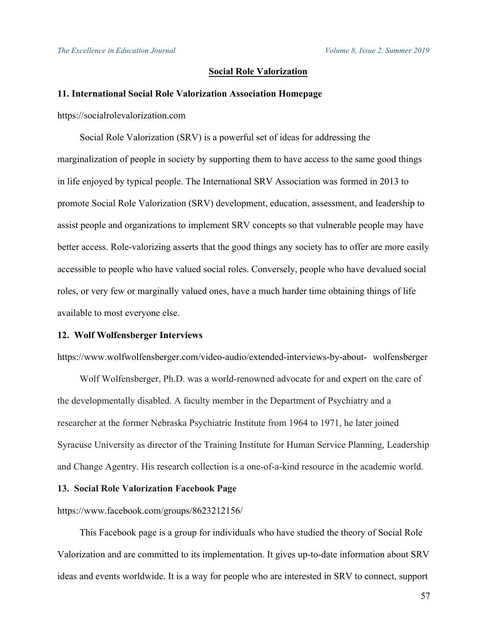## **Social Role Valorization**

#### **11. International Social Role Valorization Association Homepage**

https://socialrolevalorization.com

Social Role Valorization (SRV) is a powerful set of ideas for addressing the marginalization of people in society by supporting them to have access to the same good things in life enjoyed by typical people. The International SRV Association was formed in 2013 to promote Social Role Valorization (SRV) development, education, assessment, and leadership to assist people and organizations to implement SRV concepts so that vulnerable people may have better access. Role-valorizing asserts that the good things any society has to offer are more easily accessible to people who have valued social roles. Conversely, people who have devalued social roles, or very few or marginally valued ones, have a much harder time obtaining things of life available to most everyone else.

#### **12. Wolf Wolfensberger Interviews**

https://www.wolfwolfensberger.com/video-audio/extended-interviews-by-about- wolfensberger

Wolf Wolfensberger, Ph.D. was a world-renowned advocate for and expert on the care of the developmentally disabled. A faculty member in the Department of Psychiatry and a researcher at the former Nebraska Psychiatric Institute from 1964 to 1971, he later joined Syracuse University as director of the Training Institute for Human Service Planning, Leadership and Change Agentry. His research collection is a one-of-a-kind resource in the academic world.

#### **13. Social Role Valorization Facebook Page**

https://www.facebook.com/groups/8623212156/

This Facebook page is a group for individuals who have studied the theory of Social Role Valorization and are committed to its implementation. It gives up-to-date information about SRV ideas and events worldwide. It is a way for people who are interested in SRV to connect, support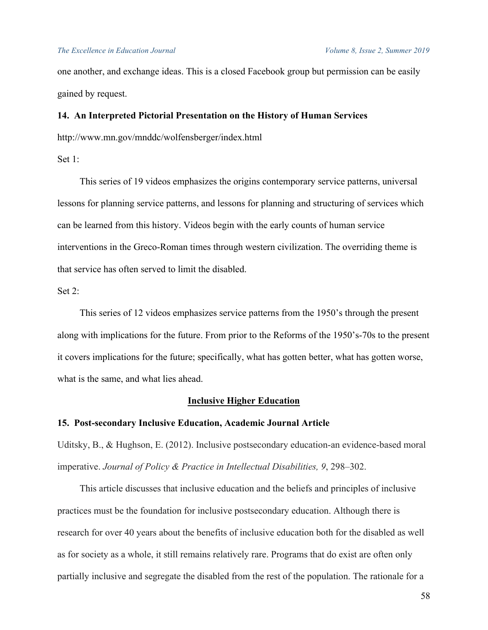## *The Excellence in Education Journal Volume 8, Issue 2, Summer 2019*

one another, and exchange ideas. This is a closed Facebook group but permission can be easily gained by request.

## **14. An Interpreted Pictorial Presentation on the History of Human Services**

http://www.mn.gov/mnddc/wolfensberger/index.html

Set  $1$ <sup> $\cdot$ </sup>

This series of 19 videos emphasizes the origins contemporary service patterns, universal lessons for planning service patterns, and lessons for planning and structuring of services which can be learned from this history. Videos begin with the early counts of human service interventions in the Greco-Roman times through western civilization. The overriding theme is that service has often served to limit the disabled.

Set 2:

This series of 12 videos emphasizes service patterns from the 1950's through the present along with implications for the future. From prior to the Reforms of the 1950's-70s to the present it covers implications for the future; specifically, what has gotten better, what has gotten worse, what is the same, and what lies ahead.

#### **Inclusive Higher Education**

## **15. Post-secondary Inclusive Education, Academic Journal Article**

Uditsky, B., & Hughson, E. (2012). Inclusive postsecondary education-an evidence-based moral imperative. *Journal of Policy & Practice in Intellectual Disabilities, 9*, 298–302.

This article discusses that inclusive education and the beliefs and principles of inclusive practices must be the foundation for inclusive postsecondary education. Although there is research for over 40 years about the benefits of inclusive education both for the disabled as well as for society as a whole, it still remains relatively rare. Programs that do exist are often only partially inclusive and segregate the disabled from the rest of the population. The rationale for a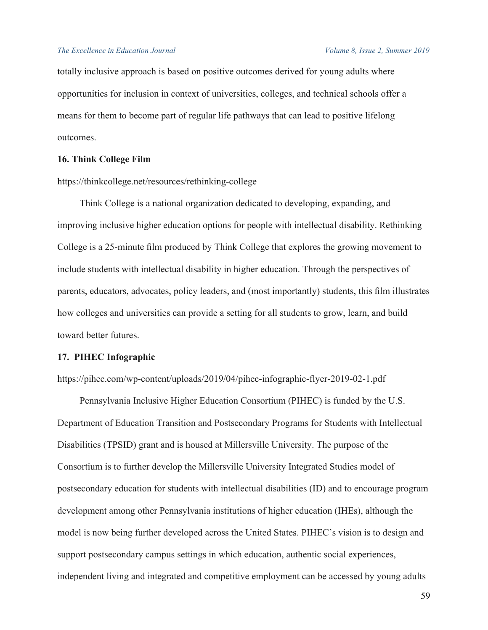totally inclusive approach is based on positive outcomes derived for young adults where opportunities for inclusion in context of universities, colleges, and technical schools offer a means for them to become part of regular life pathways that can lead to positive lifelong outcomes.

## **16. Think College Film**

https://thinkcollege.net/resources/rethinking-college

Think College is a national organization dedicated to developing, expanding, and improving inclusive higher education options for people with intellectual disability. Rethinking College is a 25-minute film produced by Think College that explores the growing movement to include students with intellectual disability in higher education. Through the perspectives of parents, educators, advocates, policy leaders, and (most importantly) students, this film illustrates how colleges and universities can provide a setting for all students to grow, learn, and build toward better futures.

## **17. PIHEC Infographic**

https://pihec.com/wp-content/uploads/2019/04/pihec-infographic-flyer-2019-02-1.pdf

Pennsylvania Inclusive Higher Education Consortium (PIHEC) is funded by the U.S. Department of Education Transition and Postsecondary Programs for Students with Intellectual Disabilities (TPSID) grant and is housed at Millersville University. The purpose of the Consortium is to further develop the Millersville University Integrated Studies model of postsecondary education for students with intellectual disabilities (ID) and to encourage program development among other Pennsylvania institutions of higher education (IHEs), although the model is now being further developed across the United States. PIHEC's vision is to design and support postsecondary campus settings in which education, authentic social experiences, independent living and integrated and competitive employment can be accessed by young adults

59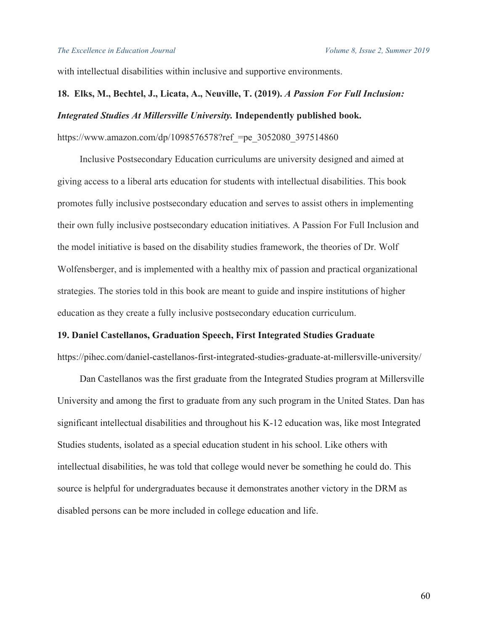with intellectual disabilities within inclusive and supportive environments.

# **18. Elks, M., Bechtel, J., Licata, A., Neuville, T. (2019).** *A Passion For Full Inclusion: Integrated Studies At Millersville University.* **Independently published book.**

https://www.amazon.com/dp/1098576578?ref =pe\_3052080\_397514860

Inclusive Postsecondary Education curriculums are university designed and aimed at giving access to a liberal arts education for students with intellectual disabilities. This book promotes fully inclusive postsecondary education and serves to assist others in implementing their own fully inclusive postsecondary education initiatives. A Passion For Full Inclusion and the model initiative is based on the disability studies framework, the theories of Dr. Wolf Wolfensberger, and is implemented with a healthy mix of passion and practical organizational strategies. The stories told in this book are meant to guide and inspire institutions of higher education as they create a fully inclusive postsecondary education curriculum.

## **19. Daniel Castellanos, Graduation Speech, First Integrated Studies Graduate**

https://pihec.com/daniel-castellanos-first-integrated-studies-graduate-at-millersville-university/

Dan Castellanos was the first graduate from the Integrated Studies program at Millersville University and among the first to graduate from any such program in the United States. Dan has significant intellectual disabilities and throughout his K-12 education was, like most Integrated Studies students, isolated as a special education student in his school. Like others with intellectual disabilities, he was told that college would never be something he could do. This source is helpful for undergraduates because it demonstrates another victory in the DRM as disabled persons can be more included in college education and life.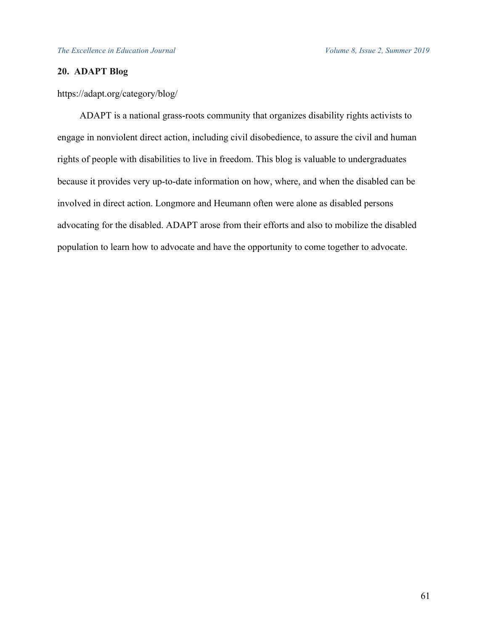# **20. ADAPT Blog**

https://adapt.org/category/blog/

ADAPT is a national grass-roots community that organizes disability rights activists to engage in nonviolent direct action, including civil disobedience, to assure the civil and human rights of people with disabilities to live in freedom. This blog is valuable to undergraduates because it provides very up-to-date information on how, where, and when the disabled can be involved in direct action. Longmore and Heumann often were alone as disabled persons advocating for the disabled. ADAPT arose from their efforts and also to mobilize the disabled population to learn how to advocate and have the opportunity to come together to advocate.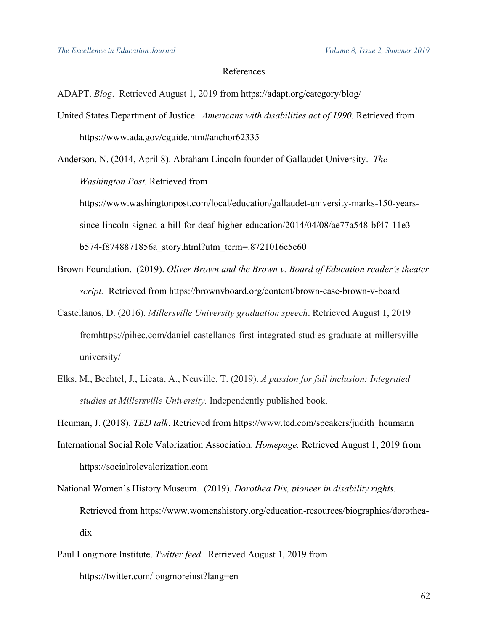## References

ADAPT. *Blog*. Retrieved August 1, 2019 from https://adapt.org/category/blog/

United States Department of Justice. *Americans with disabilities act of 1990.* Retrieved from https://www.ada.gov/cguide.htm#anchor62335

Anderson, N. (2014, April 8). Abraham Lincoln founder of Gallaudet University. *The Washington Post.* Retrieved from

https://www.washingtonpost.com/local/education/gallaudet-university-marks-150-yearssince-lincoln-signed-a-bill-for-deaf-higher-education/2014/04/08/ae77a548-bf47-11e3 b574-f8748871856a\_story.html?utm\_term=.8721016e5c60

- Brown Foundation. (2019). *Oliver Brown and the Brown v. Board of Education reader's theater script.* Retrieved from https://brownvboard.org/content/brown-case-brown-v-board
- Castellanos, D. (2016). *Millersville University graduation speech*. Retrieved August 1, 2019 fromhttps://pihec.com/daniel-castellanos-first-integrated-studies-graduate-at-millersvilleuniversity/
- Elks, M., Bechtel, J., Licata, A., Neuville, T. (2019). *A passion for full inclusion: Integrated studies at Millersville University.* Independently published book.

Heuman, J. (2018). *TED talk*. Retrieved from https://www.ted.com/speakers/judith\_heumann

- International Social Role Valorization Association. *Homepage.* Retrieved August 1, 2019 from https://socialrolevalorization.com
- National Women's History Museum. (2019). *Dorothea Dix, pioneer in disability rights.* Retrieved from https://www.womenshistory.org/education-resources/biographies/dorotheadix
- Paul Longmore Institute. *Twitter feed.* Retrieved August 1, 2019 from https://twitter.com/longmoreinst?lang=en